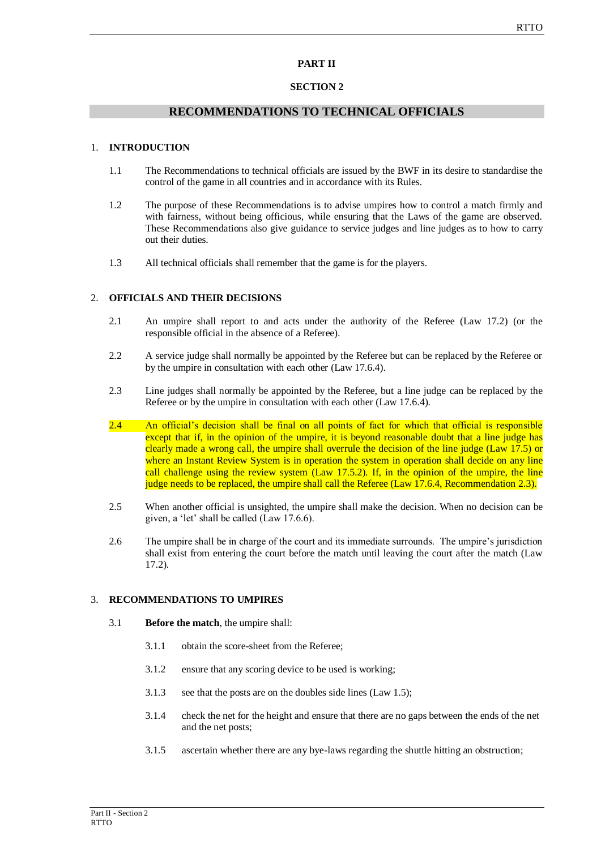## **PART II**

### **SECTION 2**

## **RECOMMENDATIONS TO TECHNICAL OFFICIALS**

### 1. **INTRODUCTION**

- 1.1 The Recommendations to technical officials are issued by the BWF in its desire to standardise the control of the game in all countries and in accordance with its Rules.
- 1.2 The purpose of these Recommendations is to advise umpires how to control a match firmly and with fairness, without being officious, while ensuring that the Laws of the game are observed. These Recommendations also give guidance to service judges and line judges as to how to carry out their duties.
- 1.3 All technical officials shall remember that the game is for the players.

### 2. **OFFICIALS AND THEIR DECISIONS**

- 2.1 An umpire shall report to and acts under the authority of the Referee (Law 17.2) (or the responsible official in the absence of a Referee).
- 2.2 A service judge shall normally be appointed by the Referee but can be replaced by the Referee or by the umpire in consultation with each other (Law 17.6.4).
- 2.3 Line judges shall normally be appointed by the Referee, but a line judge can be replaced by the Referee or by the umpire in consultation with each other (Law 17.6.4).
- 2.4 An official's decision shall be final on all points of fact for which that official is responsible except that if, in the opinion of the umpire, it is beyond reasonable doubt that a line judge has clearly made a wrong call, the umpire shall overrule the decision of the line judge (Law 17.5) or where an Instant Review System is in operation the system in operation shall decide on any line call challenge using the review system (Law 17.5.2). If, in the opinion of the umpire, the line judge needs to be replaced, the umpire shall call the Referee (Law 17.6.4, Recommendation 2.3).
- 2.5 When another official is unsighted, the umpire shall make the decision. When no decision can be given, a 'let' shall be called (Law 17.6.6).
- 2.6 The umpire shall be in charge of the court and its immediate surrounds. The umpire's jurisdiction shall exist from entering the court before the match until leaving the court after the match (Law 17.2).

### 3. **RECOMMENDATIONS TO UMPIRES**

- 3.1 **Before the match**, the umpire shall:
	- 3.1.1 obtain the score-sheet from the Referee;
	- 3.1.2 ensure that any scoring device to be used is working;
	- 3.1.3 see that the posts are on the doubles side lines (Law 1.5);
	- 3.1.4 check the net for the height and ensure that there are no gaps between the ends of the net and the net posts;
	- 3.1.5 ascertain whether there are any bye-laws regarding the shuttle hitting an obstruction;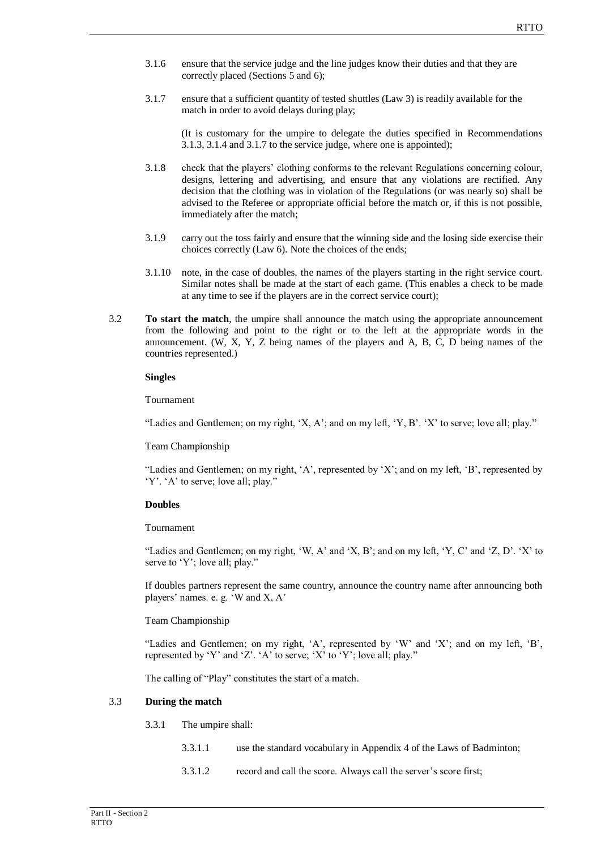- 3.1.6 ensure that the service judge and the line judges know their duties and that they are correctly placed (Sections 5 and 6);
- 3.1.7 ensure that a sufficient quantity of tested shuttles (Law 3) is readily available for the match in order to avoid delays during play;

(It is customary for the umpire to delegate the duties specified in Recommendations 3.1.3, 3.1.4 and 3.1.7 to the service judge, where one is appointed);

- 3.1.8 check that the players' clothing conforms to the relevant Regulations concerning colour, designs, lettering and advertising, and ensure that any violations are rectified. Any decision that the clothing was in violation of the Regulations (or was nearly so) shall be advised to the Referee or appropriate official before the match or, if this is not possible, immediately after the match;
- 3.1.9 carry out the toss fairly and ensure that the winning side and the losing side exercise their choices correctly (Law 6). Note the choices of the ends;
- 3.1.10 note, in the case of doubles, the names of the players starting in the right service court. Similar notes shall be made at the start of each game. (This enables a check to be made at any time to see if the players are in the correct service court);
- 3.2 **To start the match**, the umpire shall announce the match using the appropriate announcement from the following and point to the right or to the left at the appropriate words in the announcement. (W, X, Y, Z being names of the players and A, B, C, D being names of the countries represented.)

#### **Singles**

Tournament

"Ladies and Gentlemen; on my right, 'X, A'; and on my left, 'Y, B'. 'X' to serve; love all; play."

#### Team Championship

"Ladies and Gentlemen; on my right, 'A', represented by 'X'; and on my left, 'B', represented by 'Y'. 'A' to serve; love all; play."

### **Doubles**

### Tournament

"Ladies and Gentlemen; on my right, 'W, A' and 'X, B'; and on my left, 'Y, C' and 'Z, D'. 'X' to serve to 'Y'; love all; play."

If doubles partners represent the same country, announce the country name after announcing both players' names. e. g. 'W and X, A'

### Team Championship

"Ladies and Gentlemen; on my right, 'A', represented by 'W' and 'X'; and on my left, 'B', represented by 'Y' and 'Z'. 'A' to serve; 'X' to 'Y'; love all; play."

The calling of "Play" constitutes the start of a match.

#### 3.3 **During the match**

- 3.3.1 The umpire shall:
	- 3.3.1.1 use the standard vocabulary in Appendix 4 of the Laws of Badminton;
	- 3.3.1.2 record and call the score. Always call the server's score first;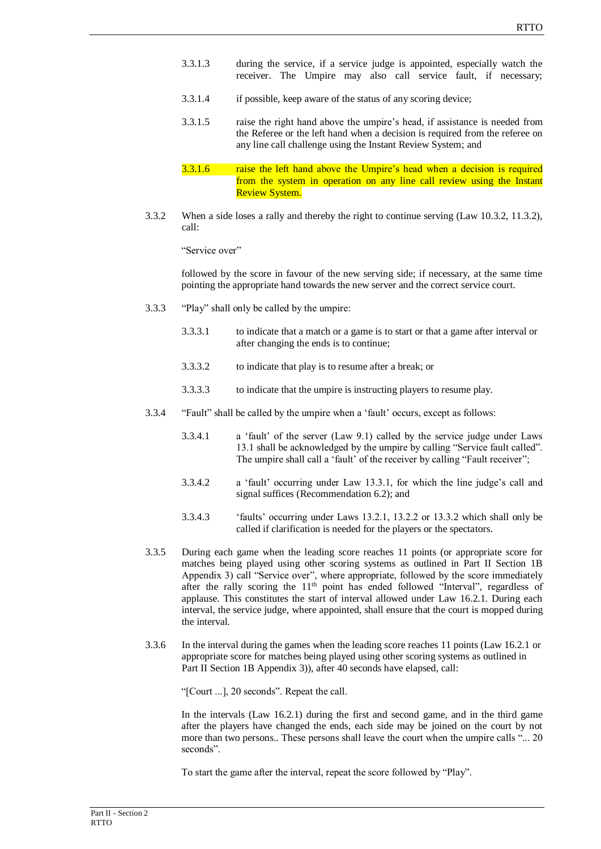- 3.3.1.3 during the service, if a service judge is appointed, especially watch the receiver. The Umpire may also call service fault, if necessary;
- 3.3.1.4 if possible, keep aware of the status of any scoring device;
- 3.3.1.5 raise the right hand above the umpire's head, if assistance is needed from the Referee or the left hand when a decision is required from the referee on any line call challenge using the Instant Review System; and
- 3.3.1.6 raise the left hand above the Umpire's head when a decision is required from the system in operation on any line call review using the Instant Review System.
- 3.3.2 When a side loses a rally and thereby the right to continue serving (Law 10.3.2, 11.3.2), call:

"Service over"

followed by the score in favour of the new serving side; if necessary, at the same time pointing the appropriate hand towards the new server and the correct service court.

- 3.3.3 "Play" shall only be called by the umpire:
	- 3.3.3.1 to indicate that a match or a game is to start or that a game after interval or after changing the ends is to continue;
	- 3.3.3.2 to indicate that play is to resume after a break; or
	- 3.3.3.3 to indicate that the umpire is instructing players to resume play.
- 3.3.4 "Fault" shall be called by the umpire when a 'fault' occurs, except as follows:
	- 3.3.4.1 a 'fault' of the server (Law 9.1) called by the service judge under Laws 13.1 shall be acknowledged by the umpire by calling "Service fault called". The umpire shall call a 'fault' of the receiver by calling "Fault receiver";
	- 3.3.4.2 a 'fault' occurring under Law 13.3.1, for which the line judge's call and signal suffices (Recommendation 6.2); and
	- 3.3.4.3 'faults' occurring under Laws 13.2.1, 13.2.2 or 13.3.2 which shall only be called if clarification is needed for the players or the spectators.
- 3.3.5 During each game when the leading score reaches 11 points (or appropriate score for matches being played using other scoring systems as outlined in Part II Section 1B Appendix 3) call "Service over", where appropriate, followed by the score immediately after the rally scoring the 11<sup>th</sup> point has ended followed "Interval", regardless of applause. This constitutes the start of interval allowed under Law 16.2.1. During each interval, the service judge, where appointed, shall ensure that the court is mopped during the interval.
- 3.3.6 In the interval during the games when the leading score reaches 11 points (Law 16.2.1 or appropriate score for matches being played using other scoring systems as outlined in Part II Section 1B Appendix 3)), after 40 seconds have elapsed, call:

"[Court ...], 20 seconds". Repeat the call.

In the intervals (Law 16.2.1) during the first and second game, and in the third game after the players have changed the ends, each side may be joined on the court by not more than two persons.. These persons shall leave the court when the umpire calls "... 20 seconds".

To start the game after the interval, repeat the score followed by "Play".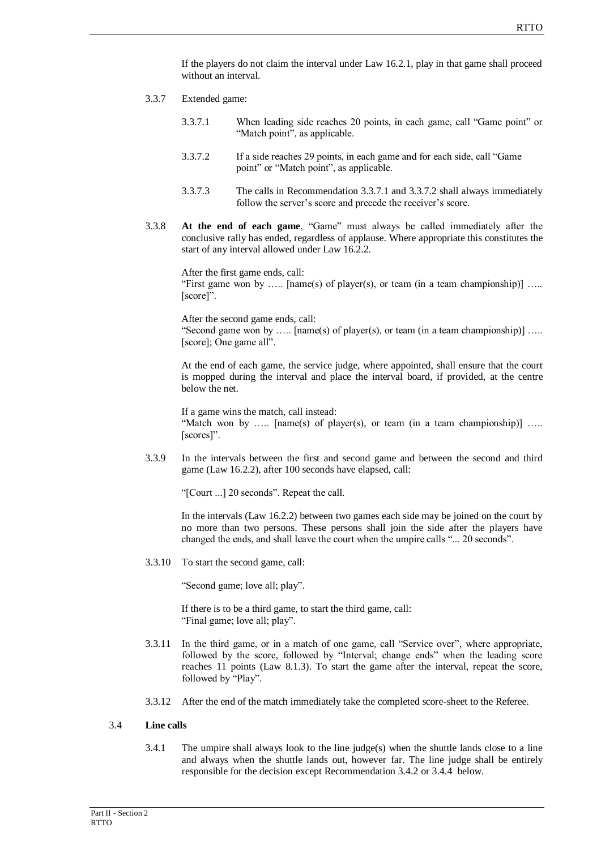If the players do not claim the interval under Law 16.2.1, play in that game shall proceed without an interval.

- 3.3.7 Extended game:
	- 3.3.7.1 When leading side reaches 20 points, in each game, call "Game point" or "Match point", as applicable.
	- 3.3.7.2 If a side reaches 29 points, in each game and for each side, call "Game point" or "Match point", as applicable.
	- 3.3.7.3 The calls in Recommendation 3.3.7.1 and 3.3.7.2 shall always immediately follow the server's score and precede the receiver's score.
- 3.3.8 **At the end of each game**, "Game" must always be called immediately after the conclusive rally has ended, regardless of applause. Where appropriate this constitutes the start of any interval allowed under Law 16.2.2.

After the first game ends, call: "First game won by ..... [name(s) of player(s), or team (in a team championship)] .... [score]".

After the second game ends, call: "Second game won by ..... [name(s) of player(s), or team (in a team championship)] ..... [score]; One game all".

At the end of each game, the service judge, where appointed, shall ensure that the court is mopped during the interval and place the interval board, if provided, at the centre below the net.

If a game wins the match, call instead: "Match won by ..... [name(s) of player(s), or team (in a team championship)] ..... [scores]".

3.3.9 In the intervals between the first and second game and between the second and third game (Law 16.2.2), after 100 seconds have elapsed, call:

"[Court ...] 20 seconds". Repeat the call.

In the intervals (Law 16.2.2) between two games each side may be joined on the court by no more than two persons. These persons shall join the side after the players have changed the ends, and shall leave the court when the umpire calls "... 20 seconds".

3.3.10 To start the second game, call:

"Second game; love all; play".

If there is to be a third game, to start the third game, call: "Final game; love all; play".

- 3.3.11 In the third game, or in a match of one game, call "Service over", where appropriate, followed by the score, followed by "Interval; change ends" when the leading score reaches 11 points (Law 8.1.3). To start the game after the interval, repeat the score, followed by "Play".
- 3.3.12 After the end of the match immediately take the completed score-sheet to the Referee.

### 3.4 **Line calls**

3.4.1 The umpire shall always look to the line judge(s) when the shuttle lands close to a line and always when the shuttle lands out, however far. The line judge shall be entirely responsible for the decision except Recommendation 3.4.2 or 3.4.4 below.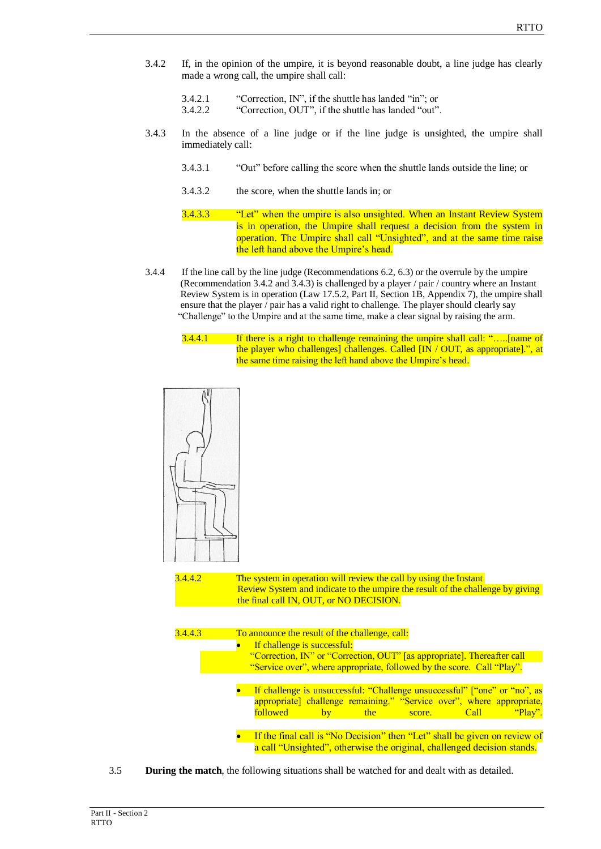- 3.4.2 If, in the opinion of the umpire, it is beyond reasonable doubt, a line judge has clearly made a wrong call, the umpire shall call:
	- 3.4.2.1 "Correction, IN", if the shuttle has landed "in"; or
	- 3.4.2.2 "Correction, OUT", if the shuttle has landed "out".
- 3.4.3 In the absence of a line judge or if the line judge is unsighted, the umpire shall immediately call:
	- 3.4.3.1 "Out" before calling the score when the shuttle lands outside the line; or
	- 3.4.3.2 the score, when the shuttle lands in; or
	- 3.4.3.3 "Let" when the umpire is also unsighted. When an Instant Review System is in operation, the Umpire shall request a decision from the system in operation. The Umpire shall call "Unsighted", and at the same time raise the left hand above the Umpire's head.
- 3.4.4 If the line call by the line judge (Recommendations 6.2, 6.3) or the overrule by the umpire (Recommendation 3.4.2 and 3.4.3) is challenged by a player / pair / country where an Instant Review System is in operation (Law 17.5.2, Part II, Section 1B, Appendix 7), the umpire shall ensure that the player / pair has a valid right to challenge. The player should clearly say "Challenge" to the Umpire and at the same time, make a clear signal by raising the arm.
	- 3.4.4.1 If there is a right to challenge remaining the umpire shall call: "…..[name of the player who challenges] challenges. Called  $\overline{IN}$  / OUT, as appropriate].", at the same time raising the left hand above the Umpire's head.



3.4.4.2 The system in operation will review the call by using the Instant Review System and indicate to the umpire the result of the challenge by giving the final call IN, OUT, or NO DECISION. 3.4.4.3 To announce the result of the challenge, call:



3.5 **During the match**, the following situations shall be watched for and dealt with as detailed.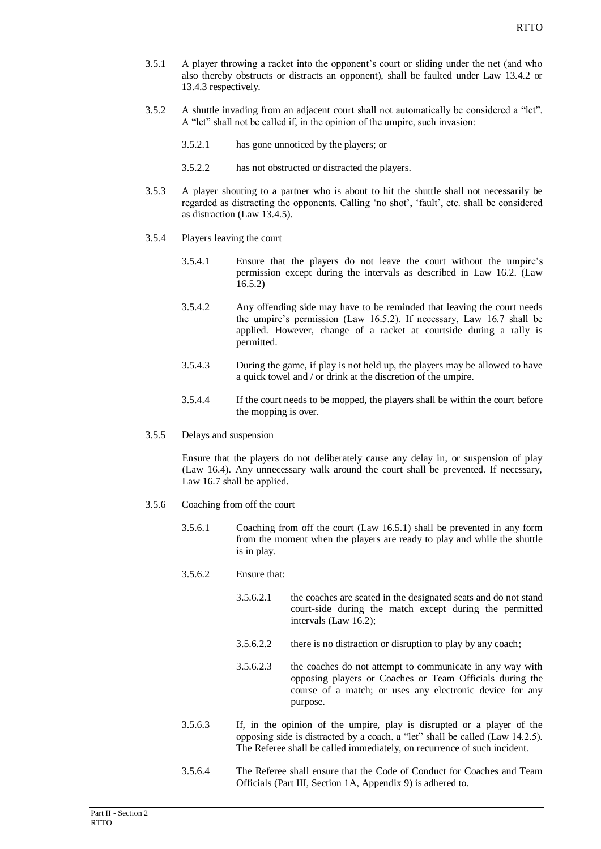- 3.5.1 A player throwing a racket into the opponent's court or sliding under the net (and who also thereby obstructs or distracts an opponent), shall be faulted under Law 13.4.2 or 13.4.3 respectively.
- 3.5.2 A shuttle invading from an adjacent court shall not automatically be considered a "let". A "let" shall not be called if, in the opinion of the umpire, such invasion:
	- 3.5.2.1 has gone unnoticed by the players; or
	- 3.5.2.2 has not obstructed or distracted the players.
- 3.5.3 A player shouting to a partner who is about to hit the shuttle shall not necessarily be regarded as distracting the opponents. Calling 'no shot', 'fault', etc. shall be considered as distraction (Law 13.4.5).
- 3.5.4 Players leaving the court
	- 3.5.4.1 Ensure that the players do not leave the court without the umpire's permission except during the intervals as described in Law 16.2. (Law 16.5.2)
	- 3.5.4.2 Any offending side may have to be reminded that leaving the court needs the umpire's permission (Law 16.5.2). If necessary, Law 16.7 shall be applied. However, change of a racket at courtside during a rally is permitted.
	- 3.5.4.3 During the game, if play is not held up, the players may be allowed to have a quick towel and / or drink at the discretion of the umpire.
	- 3.5.4.4 If the court needs to be mopped, the players shall be within the court before the mopping is over.
- 3.5.5 Delays and suspension

Ensure that the players do not deliberately cause any delay in, or suspension of play (Law 16.4). Any unnecessary walk around the court shall be prevented. If necessary, Law 16.7 shall be applied.

- 3.5.6 Coaching from off the court
	- 3.5.6.1 Coaching from off the court (Law 16.5.1) shall be prevented in any form from the moment when the players are ready to play and while the shuttle is in play.
	- 3.5.6.2 Ensure that:
		- 3.5.6.2.1 the coaches are seated in the designated seats and do not stand court-side during the match except during the permitted intervals (Law 16.2);
		- 3.5.6.2.2 there is no distraction or disruption to play by any coach;
		- 3.5.6.2.3 the coaches do not attempt to communicate in any way with opposing players or Coaches or Team Officials during the course of a match; or uses any electronic device for any purpose.
	- 3.5.6.3 If, in the opinion of the umpire, play is disrupted or a player of the opposing side is distracted by a coach, a "let" shall be called (Law 14.2.5). The Referee shall be called immediately, on recurrence of such incident.
	- 3.5.6.4 The Referee shall ensure that the Code of Conduct for Coaches and Team Officials (Part III, Section 1A, Appendix 9) is adhered to.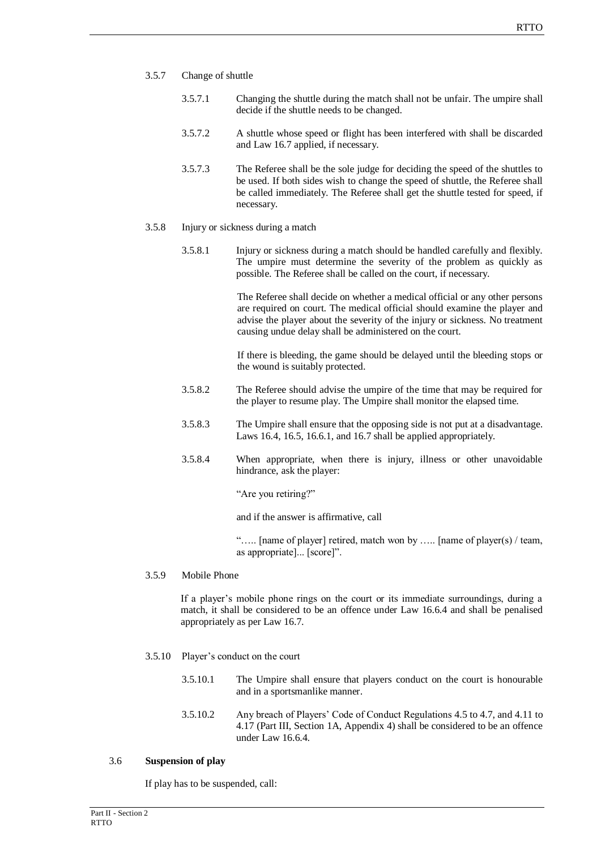- 3.5.7 Change of shuttle
	- 3.5.7.1 Changing the shuttle during the match shall not be unfair. The umpire shall decide if the shuttle needs to be changed.
	- 3.5.7.2 A shuttle whose speed or flight has been interfered with shall be discarded and Law 16.7 applied, if necessary.
	- 3.5.7.3 The Referee shall be the sole judge for deciding the speed of the shuttles to be used. If both sides wish to change the speed of shuttle, the Referee shall be called immediately. The Referee shall get the shuttle tested for speed, if necessary.
- 3.5.8 Injury or sickness during a match
	- 3.5.8.1 Injury or sickness during a match should be handled carefully and flexibly. The umpire must determine the severity of the problem as quickly as possible. The Referee shall be called on the court, if necessary.

The Referee shall decide on whether a medical official or any other persons are required on court. The medical official should examine the player and advise the player about the severity of the injury or sickness. No treatment causing undue delay shall be administered on the court.

If there is bleeding, the game should be delayed until the bleeding stops or the wound is suitably protected.

- 3.5.8.2 The Referee should advise the umpire of the time that may be required for the player to resume play. The Umpire shall monitor the elapsed time.
- 3.5.8.3 The Umpire shall ensure that the opposing side is not put at a disadvantage. Laws 16.4, 16.5, 16.6.1, and 16.7 shall be applied appropriately.
- 3.5.8.4 When appropriate, when there is injury, illness or other unavoidable hindrance, ask the player:

"Are you retiring?"

and if the answer is affirmative, call

"….. [name of player] retired, match won by ….. [name of player(s) / team, as appropriate]... [score]".

### 3.5.9 Mobile Phone

If a player's mobile phone rings on the court or its immediate surroundings, during a match, it shall be considered to be an offence under Law 16.6.4 and shall be penalised appropriately as per Law 16.7.

- 3.5.10 Player's conduct on the court
	- 3.5.10.1 The Umpire shall ensure that players conduct on the court is honourable and in a sportsmanlike manner.
	- 3.5.10.2 Any breach of Players' Code of Conduct Regulations 4.5 to 4.7, and 4.11 to 4.17 (Part III, Section 1A, Appendix 4) shall be considered to be an offence under Law 16.6.4.

### 3.6 **Suspension of play**

If play has to be suspended, call: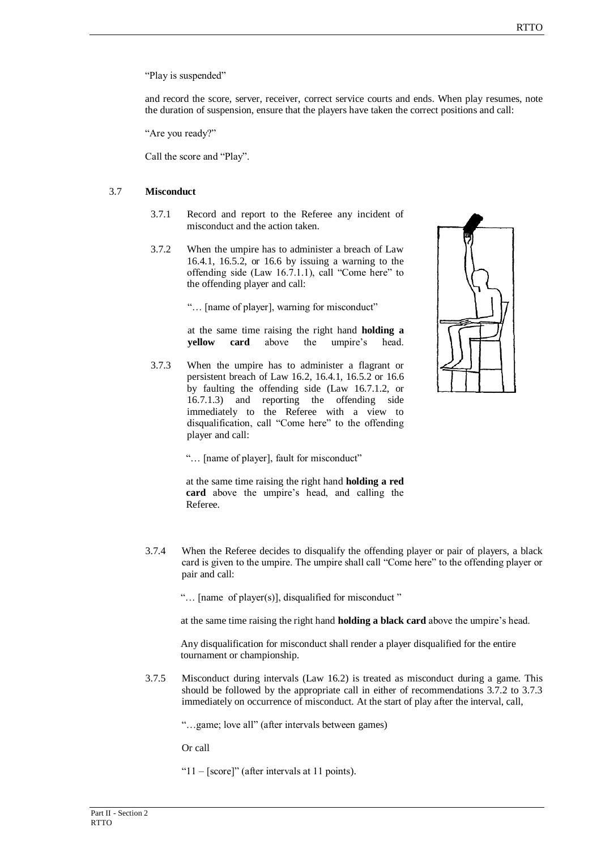"Play is suspended"

and record the score, server, receiver, correct service courts and ends. When play resumes, note the duration of suspension, ensure that the players have taken the correct positions and call:

"Are you ready?"

Call the score and "Play".

## 3.7 **Misconduct**

- 3.7.1 Record and report to the Referee any incident of misconduct and the action taken.
- 3.7.2 When the umpire has to administer a breach of Law 16.4.1, 16.5.2, or 16.6 by issuing a warning to the offending side (Law 16.7.1.1), call "Come here" to the offending player and call:

"… [name of player], warning for misconduct"

at the same time raising the right hand **holding a yellow card** above the umpire's head.

3.7.3 When the umpire has to administer a flagrant or persistent breach of Law 16.2, 16.4.1, 16.5.2 or 16.6 by faulting the offending side (Law 16.7.1.2, or 16.7.1.3) and reporting the offending side immediately to the Referee with a view to disqualification, call "Come here" to the offending player and call:



"… [name of player], fault for misconduct"

at the same time raising the right hand **holding a red card** above the umpire's head, and calling the Referee.

3.7.4 When the Referee decides to disqualify the offending player or pair of players, a black card is given to the umpire. The umpire shall call "Come here" to the offending player or pair and call:

"… [name of player(s)], disqualified for misconduct "

at the same time raising the right hand **holding a black card** above the umpire's head.

Any disqualification for misconduct shall render a player disqualified for the entire tournament or championship.

3.7.5 Misconduct during intervals (Law 16.2) is treated as misconduct during a game. This should be followed by the appropriate call in either of recommendations 3.7.2 to 3.7.3 immediately on occurrence of misconduct. At the start of play after the interval, call,

"…game; love all" (after intervals between games)

Or call

"11 – [score]" (after intervals at 11 points).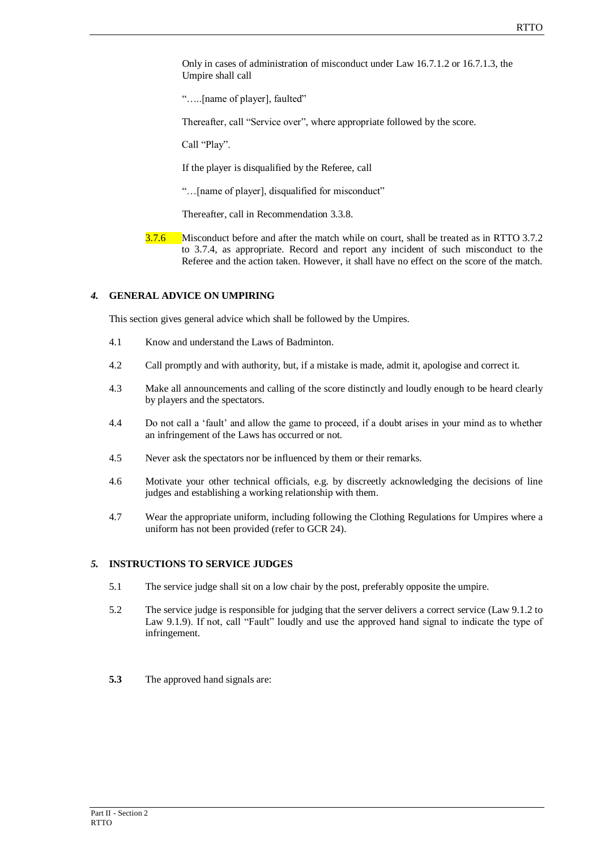Only in cases of administration of misconduct under Law 16.7.1.2 or 16.7.1.3, the Umpire shall call

"…..[name of player], faulted"

Thereafter, call "Service over", where appropriate followed by the score.

Call "Play".

If the player is disqualified by the Referee, call

"…[name of player], disqualified for misconduct"

Thereafter, call in Recommendation 3.3.8.

3.7.6 Misconduct before and after the match while on court, shall be treated as in RTTO 3.7.2 to 3.7.4, as appropriate. Record and report any incident of such misconduct to the Referee and the action taken. However, it shall have no effect on the score of the match.

# *4.* **GENERAL ADVICE ON UMPIRING**

This section gives general advice which shall be followed by the Umpires.

- 4.1 Know and understand the Laws of Badminton.
- 4.2 Call promptly and with authority, but, if a mistake is made, admit it, apologise and correct it.
- 4.3 Make all announcements and calling of the score distinctly and loudly enough to be heard clearly by players and the spectators.
- 4.4 Do not call a 'fault' and allow the game to proceed, if a doubt arises in your mind as to whether an infringement of the Laws has occurred or not.
- 4.5 Never ask the spectators nor be influenced by them or their remarks.
- 4.6 Motivate your other technical officials, e.g. by discreetly acknowledging the decisions of line judges and establishing a working relationship with them.
- 4.7 Wear the appropriate uniform, including following the Clothing Regulations for Umpires where a uniform has not been provided (refer to GCR 24).

# *5.* **INSTRUCTIONS TO SERVICE JUDGES**

- 5.1 The service judge shall sit on a low chair by the post, preferably opposite the umpire.
- 5.2 The service judge is responsible for judging that the server delivers a correct service (Law 9.1.2 to Law 9.1.9). If not, call "Fault" loudly and use the approved hand signal to indicate the type of infringement.
- **5.3** The approved hand signals are: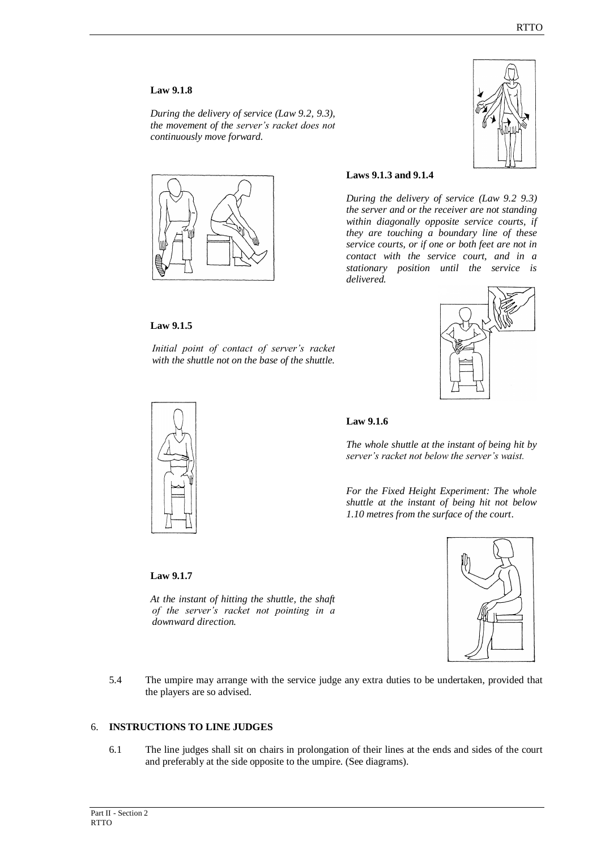### **Law 9.1.8**

*During the delivery of service (Law 9.2, 9.3), the movement of the server's racket does not continuously move forward.*



## **Laws 9.1.3 and 9.1.4**

*During the delivery of service (Law 9.2 9.3) the server and or the receiver are not standing within diagonally opposite service courts, if they are touching a boundary line of these service courts, or if one or both feet are not in contact with the service court, and in a stationary position until the service is delivered.*

### **Law 9.1.5**

*Initial point of contact of server's racket with the shuttle not on the base of the shuttle.*





### **Law 9.1.6**

*The whole shuttle at the instant of being hit by server's racket not below the server's waist.*

*For the Fixed Height Experiment: The whole shuttle at the instant of being hit not below 1.10 metres from the surface of the court*.

### **Law 9.1.7**

*At the instant of hitting the shuttle, the shaft of the server's racket not pointing in a downward direction.*



5.4 The umpire may arrange with the service judge any extra duties to be undertaken, provided that the players are so advised.

#### 6. **INSTRUCTIONS TO LINE JUDGES**

6.1 The line judges shall sit on chairs in prolongation of their lines at the ends and sides of the court and preferably at the side opposite to the umpire. (See diagrams).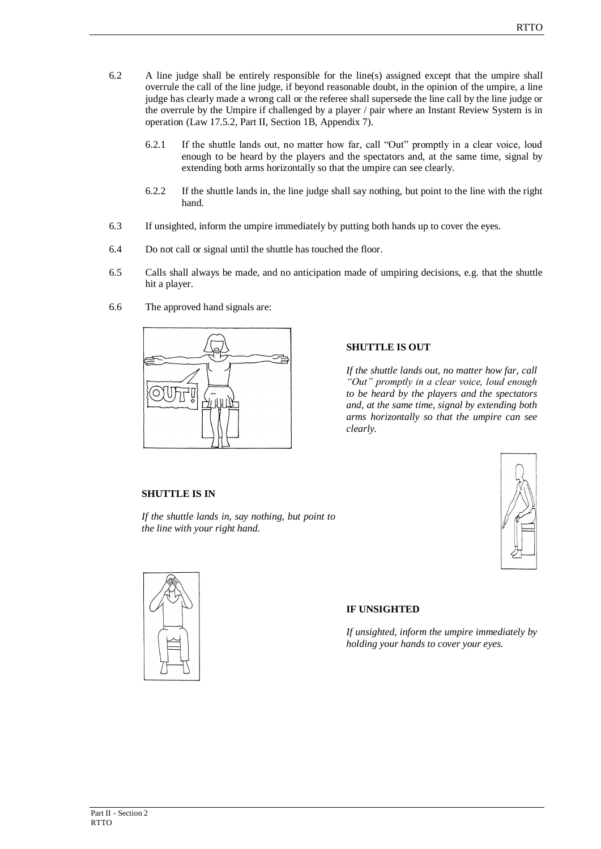- 6.2 A line judge shall be entirely responsible for the line(s) assigned except that the umpire shall overrule the call of the line judge, if beyond reasonable doubt, in the opinion of the umpire, a line judge has clearly made a wrong call or the referee shall supersede the line call by the line judge or the overrule by the Umpire if challenged by a player / pair where an Instant Review System is in operation (Law 17.5.2, Part II, Section 1B, Appendix 7).
	- 6.2.1 If the shuttle lands out, no matter how far, call "Out" promptly in a clear voice, loud enough to be heard by the players and the spectators and, at the same time, signal by extending both arms horizontally so that the umpire can see clearly.
	- 6.2.2 If the shuttle lands in, the line judge shall say nothing, but point to the line with the right hand.
- 6.3 If unsighted, inform the umpire immediately by putting both hands up to cover the eyes.
- 6.4 Do not call or signal until the shuttle has touched the floor.
- 6.5 Calls shall always be made, and no anticipation made of umpiring decisions, e.g. that the shuttle hit a player.
- 6.6 The approved hand signals are:



## **SHUTTLE IS OUT**

*If the shuttle lands out, no matter how far, call "Out" promptly in a clear voice, loud enough to be heard by the players and the spectators and, at the same time, signal by extending both arms horizontally so that the umpire can see clearly.*

## **SHUTTLE IS IN**

*If the shuttle lands in, say nothing, but point to the line with your right hand*.



# **IF UNSIGHTED**

*If unsighted, inform the umpire immediately by holding your hands to cover your eyes.*